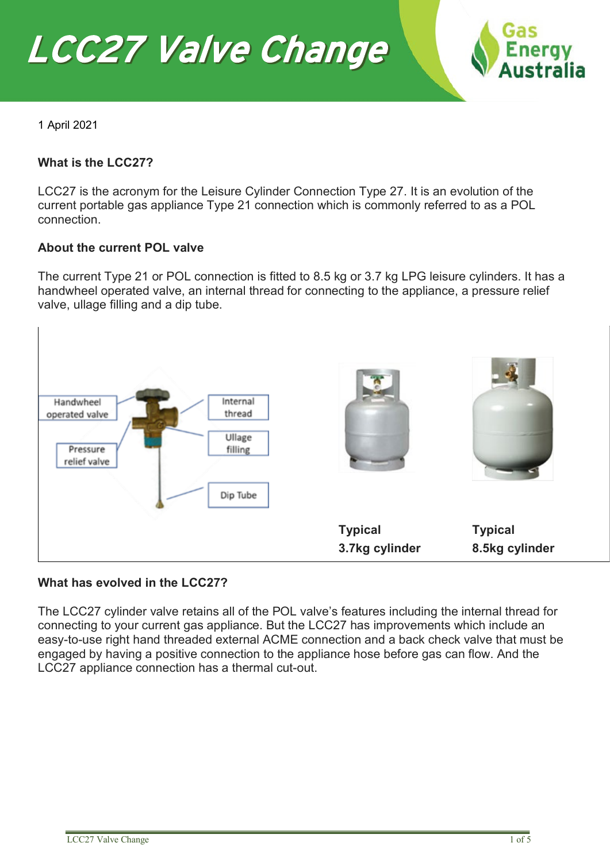



1 April 2021

### **What is the LCC27?**

LCC27 is the acronym for the Leisure Cylinder Connection Type 27. It is an evolution of the current portable gas appliance Type 21 connection which is commonly referred to as a POL connection.

#### **About the current POL valve**

The current Type 21 or POL connection is fitted to 8.5 kg or 3.7 kg LPG leisure cylinders. It has a handwheel operated valve, an internal thread for connecting to the appliance, a pressure relief valve, ullage filling and a dip tube.



#### **What has evolved in the LCC27?**

The LCC27 cylinder valve retains all of the POL valve's features including the internal thread for connecting to your current gas appliance. But the LCC27 has improvements which include an easy-to-use right hand threaded external ACME connection and a back check valve that must be engaged by having a positive connection to the appliance hose before gas can flow. And the LCC27 appliance connection has a thermal cut-out.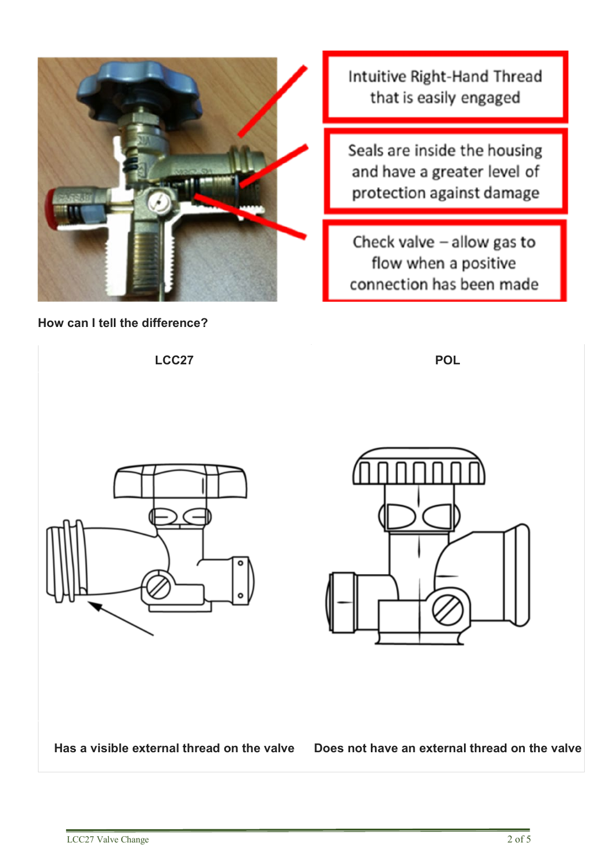

**How can I tell the difference?**

Intuitive Right-Hand Thread that is easily engaged

Seals are inside the housing and have a greater level of protection against damage

Check valve  $-$  allow gas to flow when a positive connection has been made

**LCC27 POL Has a visible external thread on the valve Does not have an external thread on the valve**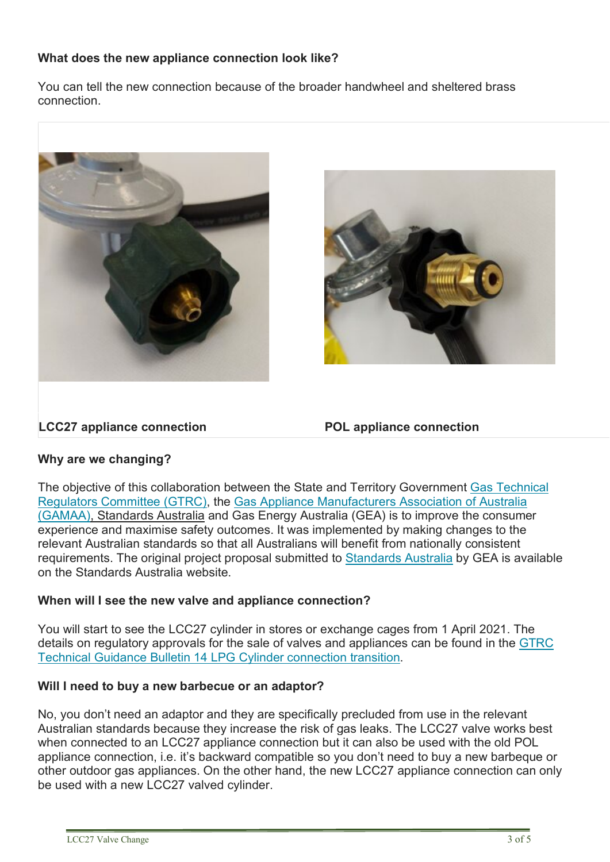# **What does the new appliance connection look like?**

You can tell the new connection because of the broader handwheel and sheltered brass connection.





## **LCC27 appliance connection POL appliance connection**

## **Why are we changing?**

The objective of this collaboration between the State and Territory Government [Gas Technical](http://www.gtrc.gov.au/)  [Regulators Committee \(GTRC\),](http://www.gtrc.gov.au/) the [Gas Appliance Manufacturers Association of Australia](https://gamaa.asn.au/) [\(GAMAA\),](https://gamaa.asn.au/) Standards Australia and Gas Energy Australia (GEA) is to improve the consumer experience and maximise safety outcomes. It was implemented by making changes to the relevant Australian standards so that all Australians will benefit from nationally consistent requirements. The original project proposal submitted to [Standards Australia](https://www.standards.org.au/getmedia/017f7825-b513-421a-923c-e1e0147b61fa/Safe-Connect-Forum-Proposal-Pack.aspx) by GEA is available on the Standards Australia website.

## **When will I see the new valve and appliance connection?**

You will start to see the LCC27 cylinder in stores or exchange cages from 1 April 2021. The details on regulatory approvals for the sale of valves and appliances can be found in the [GTRC](http://www.gtrc.gov.au/resources/Technical-Guidance-Bulletin-14---LPG-Cylinder-connection-transition-v1.1.pdf)  [Technical Guidance Bulletin 14 LPG Cylinder connection transition.](http://www.gtrc.gov.au/resources/Technical-Guidance-Bulletin-14---LPG-Cylinder-connection-transition-v1.1.pdf)

#### **Will I need to buy a new barbecue or an adaptor?**

No, you don't need an adaptor and they are specifically precluded from use in the relevant Australian standards because they increase the risk of gas leaks. The LCC27 valve works best when connected to an LCC27 appliance connection but it can also be used with the old POL appliance connection, i.e. it's backward compatible so you don't need to buy a new barbeque or other outdoor gas appliances. On the other hand, the new LCC27 appliance connection can only be used with a new LCC27 valved cylinder.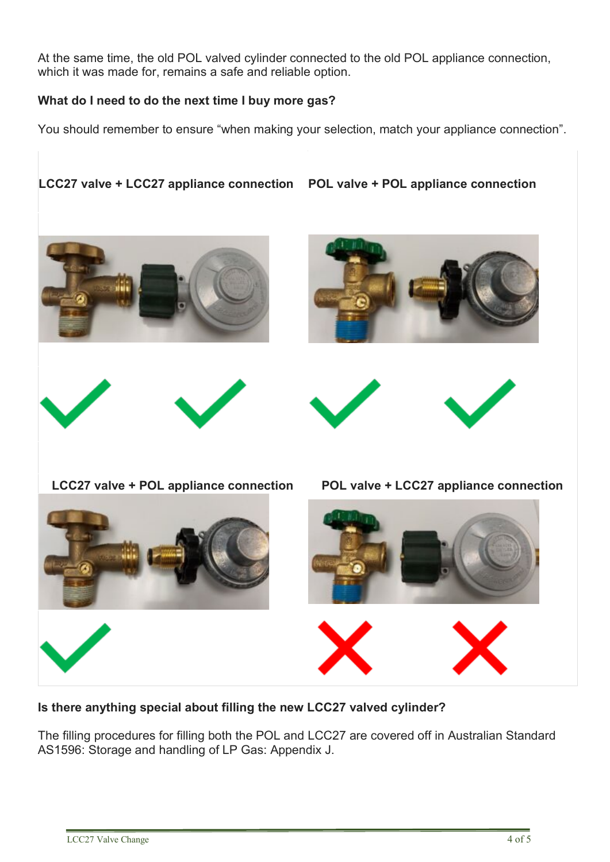At the same time, the old POL valved cylinder connected to the old POL appliance connection, which it was made for, remains a safe and reliable option.

# **What do I need to do the next time I buy more gas?**

You should remember to ensure "when making your selection, match your appliance connection".

**LCC27 valve + LCC27 appliance connection POL valve + POL appliance connection**













**LCC27 valve + POL appliance connection POL valve + LCC27 appliance connection**



**Is there anything special about filling the new LCC27 valved cylinder?**

The filling procedures for filling both the POL and LCC27 are covered off in Australian Standard AS1596: Storage and handling of LP Gas: Appendix J.